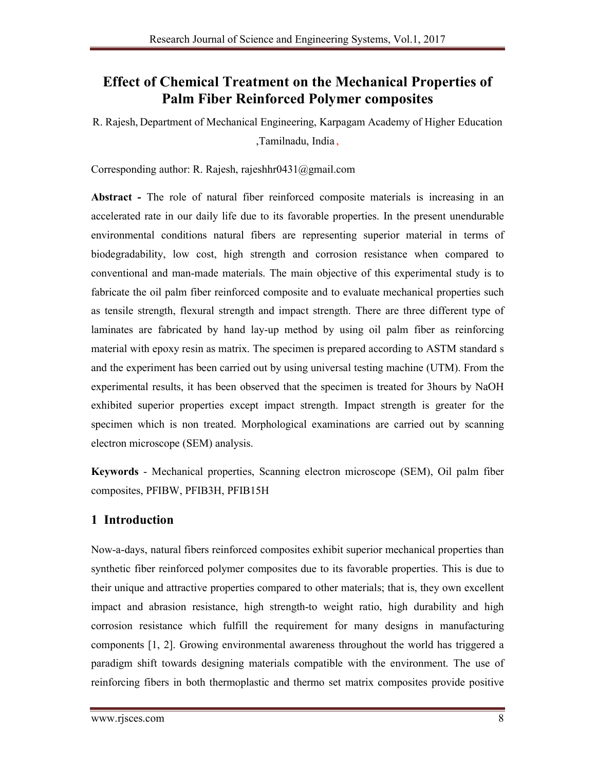# **Effect of Chemical Treatment on the Mechanical Properties of Palm Fiber Reinforced Polymer composites**

R. Rajesh, Department of Mechanical Engineering, Karpagam Academy of Higher Education ,Tamilnadu, India ,

Corresponding author: R. Rajesh, rajeshhr0431@gmail.com

**Abstract -** The role of natural fiber reinforced composite materials is increasing in an accelerated rate in our daily life due to its favorable properties. In the present unendurable environmental conditions natural fibers are representing superior material in terms of biodegradability, low cost, high strength and corrosion resistance when compared to conventional and man-made materials. The main objective of this experimental study is to fabricate the oil palm fiber reinforced composite and to evaluate mechanical properties such as tensile strength, flexural strength and impact strength. There are three different type of laminates are fabricated by hand lay-up method by using oil palm fiber as reinforcing material with epoxy resin as matrix. The specimen is prepared according to ASTM standard s and the experiment has been carried out by using universal testing machine (UTM). From the experimental results, it has been observed that the specimen is treated for 3hours by NaOH exhibited superior properties except impact strength. Impact strength is greater for the specimen which is non treated. Morphological examinations are carried out by scanning electron microscope (SEM) analysis.

**Keywords** - Mechanical properties, Scanning electron microscope (SEM), Oil palm fiber composites, PFIBW, PFIB3H, PFIB15H

## **1 Introduction**

Now-a-days, natural fibers reinforced composites exhibit superior mechanical properties than synthetic fiber reinforced polymer composites due to its favorable properties. This is due to their unique and attractive properties compared to other materials; that is, they own excellent impact and abrasion resistance, high strength-to weight ratio, high durability and high corrosion resistance which fulfill the requirement for many designs in manufacturing components [1, 2]. Growing environmental awareness throughout the world has triggered a paradigm shift towards designing materials compatible with the environment. The use of reinforcing fibers in both thermoplastic and thermo set matrix composites provide positive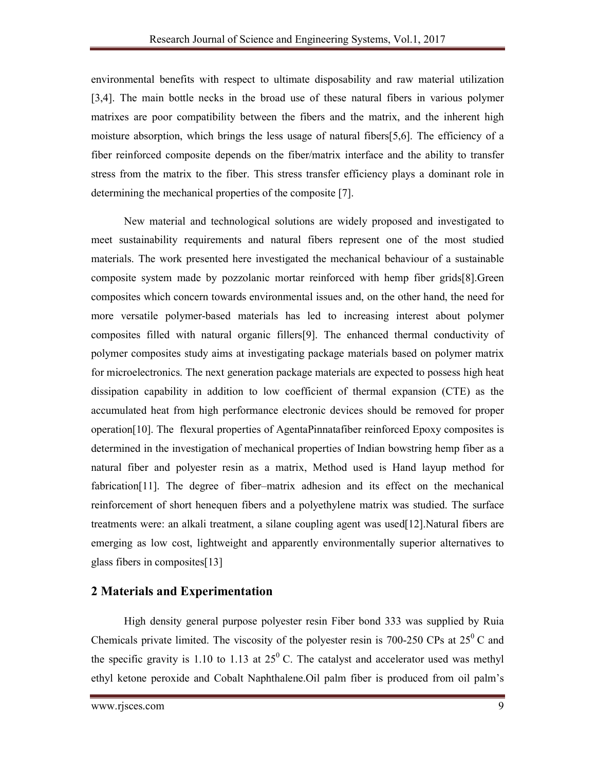environmental benefits with respect to ultimate disposability and raw material utilization [3,4]. The main bottle necks in the broad use of these natural fibers in various polymer matrixes are poor compatibility between the fibers and the matrix, and the inherent high moisture absorption, which brings the less usage of natural fibers[5,6]. The efficiency of a fiber reinforced composite depends on the fiber/matrix interface and the ability to transfer stress from the matrix to the fiber. This stress transfer efficiency plays a dominant role in determining the mechanical properties of the composite [7].

New material and technological solutions are widely proposed and investigated to meet sustainability requirements and natural fibers represent one of the most studied materials. The work presented here investigated the mechanical behaviour of a sustainable composite system made by pozzolanic mortar reinforced with hemp fiber grids[8].Green composites which concern towards environmental issues and, on the other hand, the need for more versatile polymer-based materials has led to increasing interest about polymer composites filled with natural organic fillers[9]. The enhanced thermal conductivity of polymer composites study aims at investigating package materials based on polymer matrix for microelectronics. The next generation package materials are expected to possess high heat dissipation capability in addition to low coefficient of thermal expansion (CTE) as the accumulated heat from high performance electronic devices should be removed for proper operation[10]. The flexural properties of AgentaPinnatafiber reinforced Epoxy composites is determined in the investigation of mechanical properties of Indian bowstring hemp fiber as a natural fiber and polyester resin as a matrix, Method used is Hand layup method for fabrication[11]. The degree of fiber–matrix adhesion and its effect on the mechanical reinforcement of short henequen fibers and a polyethylene matrix was studied. The surface treatments were: an alkali treatment, a silane coupling agent was used[12].Natural fibers are emerging as low cost, lightweight and apparently environmentally superior alternatives to glass fibers in composites[13]

## **2 Materials and Experimentation**

High density general purpose polyester resin Fiber bond 333 was supplied by Ruia Chemicals private limited. The viscosity of the polyester resin is 700-250 CPs at  $25^{\circ}$  C and the specific gravity is 1.10 to 1.13 at  $25^{\circ}$  C. The catalyst and accelerator used was methyl ethyl ketone peroxide and Cobalt Naphthalene.Oil palm fiber is produced from oil palm's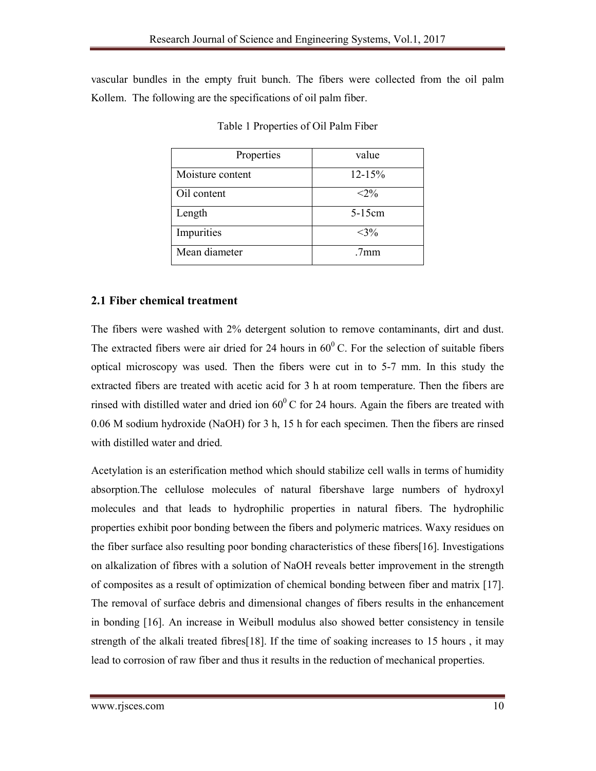vascular bundles in the empty fruit bunch. The fibers were collected from the oil palm Kollem. The following are the specifications of oil palm fiber.

| Properties       | value           |
|------------------|-----------------|
| Moisture content | $12 - 15%$      |
| Oil content      | $< 2\%$         |
| Length           | 5-15cm          |
| Impurities       | $<$ 3%          |
| Mean diameter    | 7 <sub>mm</sub> |

Table 1 Properties of Oil Palm Fiber

### **2.1 Fiber chemical treatment**

The fibers were washed with 2% detergent solution to remove contaminants, dirt and dust. The extracted fibers were air dried for 24 hours in  $60^{\circ}$  C. For the selection of suitable fibers optical microscopy was used. Then the fibers were cut in to 5-7 mm. In this study the extracted fibers are treated with acetic acid for 3 h at room temperature. Then the fibers are rinsed with distilled water and dried ion  $60^{\circ}$ C for 24 hours. Again the fibers are treated with 0.06 M sodium hydroxide (NaOH) for 3 h, 15 h for each specimen. Then the fibers are rinsed with distilled water and dried.

Acetylation is an esterification method which should stabilize cell walls in terms of humidity absorption.The cellulose molecules of natural fibershave large numbers of hydroxyl molecules and that leads to hydrophilic properties in natural fibers. The hydrophilic properties exhibit poor bonding between the fibers and polymeric matrices. Waxy residues on the fiber surface also resulting poor bonding characteristics of these fibers[16]. Investigations on alkalization of fibres with a solution of NaOH reveals better improvement in the strength of composites as a result of optimization of chemical bonding between fiber and matrix [17]. The removal of surface debris and dimensional changes of fibers results in the enhancement in bonding [16]. An increase in Weibull modulus also showed better consistency in tensile strength of the alkali treated fibres[18]. If the time of soaking increases to 15 hours , it may lead to corrosion of raw fiber and thus it results in the reduction of mechanical properties.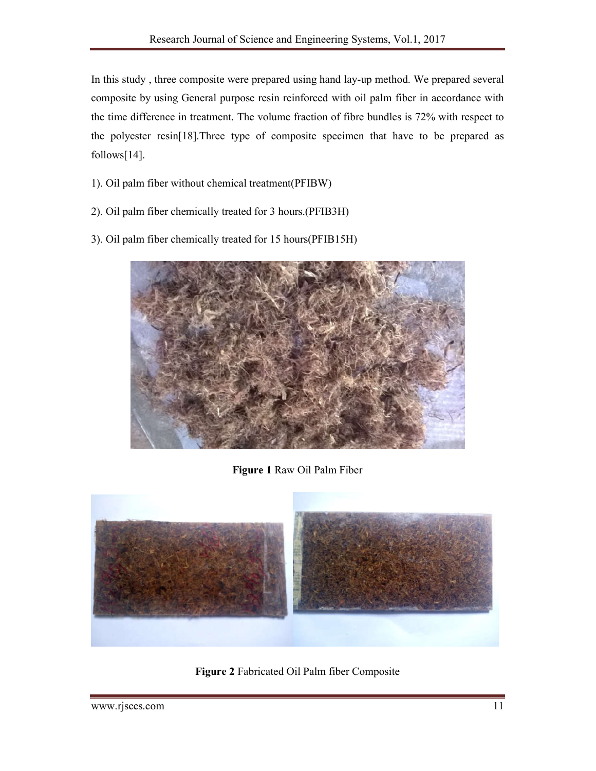In this study , three composite were prepared using hand lay-up method. We prepared several composite by using General purpose resin reinforced with oil palm fiber in accordance with the time difference in treatment. The volume fraction of fibre bundles is 72% with respect to the polyester resin[18].Three type of composite specimen that have to be prepared as follows[14].

- 1). Oil palm fiber without chemical treatment(PFIBW)
- 2). Oil palm fiber chemically treated for 3 hours.(PFIB3H)
- 3). Oil palm fiber chemically treated for 15 hours(PFIB15H)



**Figure 1** Raw Oil Palm Fiber



**Figure 2** Fabricated Oil Palm fiber Composite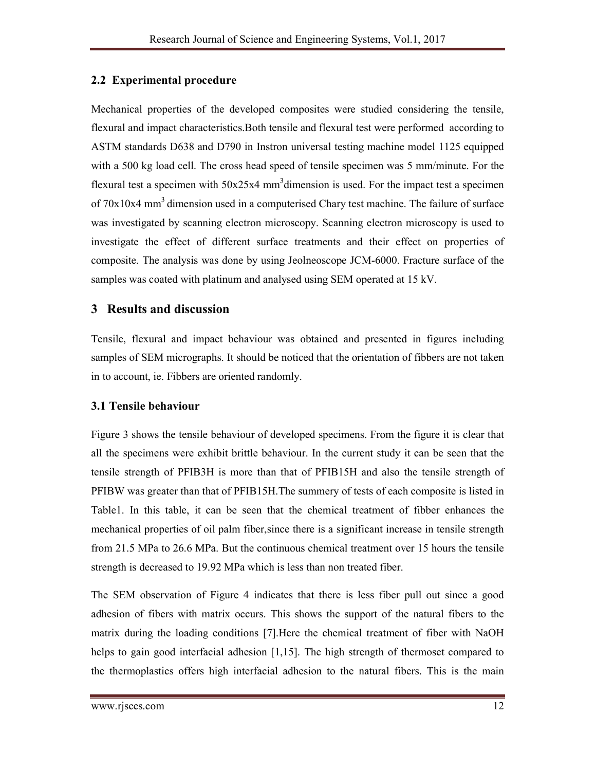### **2.2 Experimental procedure**

Mechanical properties of the developed composites were studied considering the tensile, flexural and impact characteristics.Both tensile and flexural test were performed according to ASTM standards D638 and D790 in Instron universal testing machine model 1125 equipped with a 500 kg load cell. The cross head speed of tensile specimen was 5 mm/minute. For the flexural test a specimen with  $50x25x4$  mm<sup>3</sup> dimension is used. For the impact test a specimen of  $70x10x4$  mm<sup>3</sup> dimension used in a computerised Chary test machine. The failure of surface was investigated by scanning electron microscopy. Scanning electron microscopy is used to investigate the effect of different surface treatments and their effect on properties of composite. The analysis was done by using Jeolneoscope JCM-6000. Fracture surface of the samples was coated with platinum and analysed using SEM operated at 15 kV.

### **3 Results and discussion**

Tensile, flexural and impact behaviour was obtained and presented in figures including samples of SEM micrographs. It should be noticed that the orientation of fibbers are not taken in to account, ie. Fibbers are oriented randomly.

#### **3.1 Tensile behaviour**

Figure 3 shows the tensile behaviour of developed specimens. From the figure it is clear that all the specimens were exhibit brittle behaviour. In the current study it can be seen that the tensile strength of PFIB3H is more than that of PFIB15H and also the tensile strength of PFIBW was greater than that of PFIB15H.The summery of tests of each composite is listed in Table1. In this table, it can be seen that the chemical treatment of fibber enhances the mechanical properties of oil palm fiber,since there is a significant increase in tensile strength from 21.5 MPa to 26.6 MPa. But the continuous chemical treatment over 15 hours the tensile strength is decreased to 19.92 MPa which is less than non treated fiber.

The SEM observation of Figure 4 indicates that there is less fiber pull out since a good adhesion of fibers with matrix occurs. This shows the support of the natural fibers to the matrix during the loading conditions [7].Here the chemical treatment of fiber with NaOH helps to gain good interfacial adhesion [1,15]. The high strength of thermoset compared to the thermoplastics offers high interfacial adhesion to the natural fibers. This is the main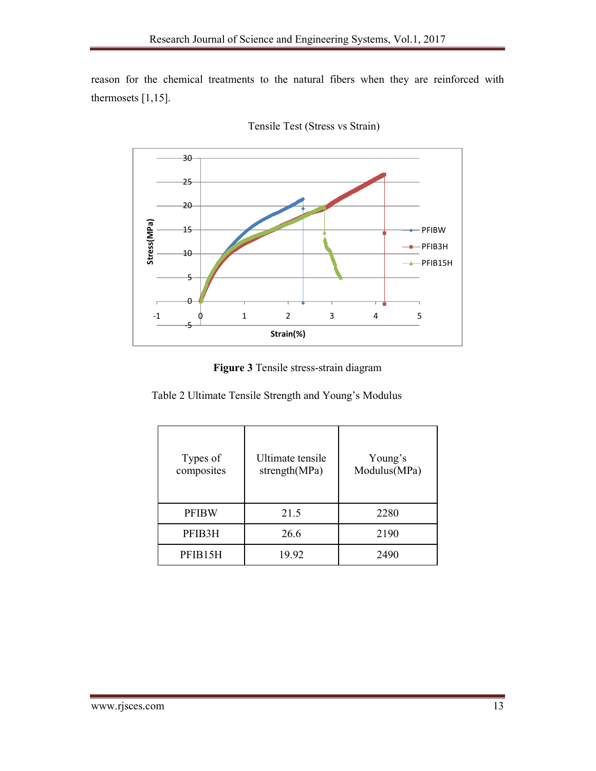reason for the chemical treatments to the natural fibers when they are reinforced with thermosets  $[1,15]$ .



Tensile Test (Stress vs Strain)

**Figure 3** Tensile stress-strain diagram

Table 2 Ultimate Tensile Strength and Young's Modulus

| Types of<br>composites | Ultimate tensile<br>strength(MPa) | Young's<br>Modulus(MPa) |
|------------------------|-----------------------------------|-------------------------|
| PFIBW                  | 21.5                              | 2280                    |
| PFIB3H                 | 26.6                              | 2190                    |
| PFIB15H                | 19.92                             | 2490                    |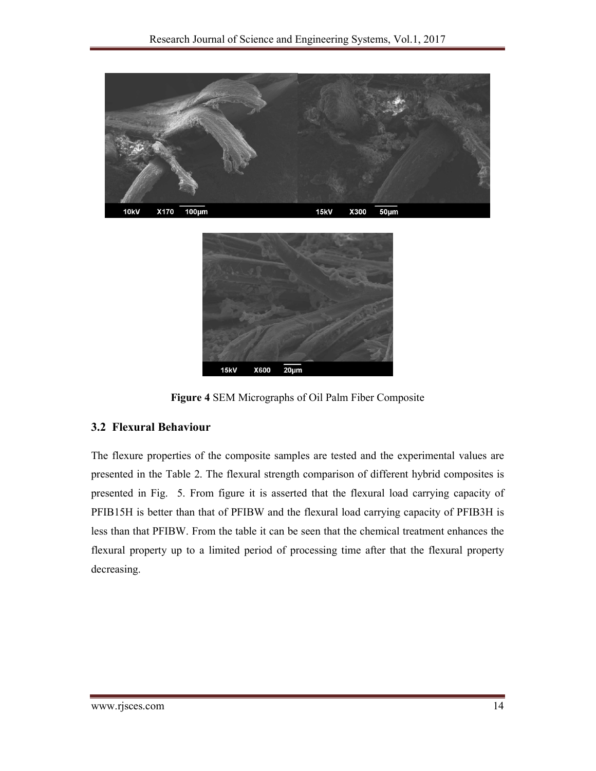



**Figure 4** SEM Micrographs of Oil Palm Fiber Composite

#### **3.2 Flexural Behaviour**

The flexure properties of the composite samples are tested and the experimental values are presented in the Table 2. The flexural strength comparison of different hybrid composites is presented in Fig. 5. From figure it is asserted that the flexural load carrying capacity of PFIB15H is better than that of PFIBW and the flexural load carrying capacity of PFIB3H is less than that PFIBW. From the table it can be seen that the chemical treatment enhances the flexural property up to a limited period of processing time after that the flexural property decreasing.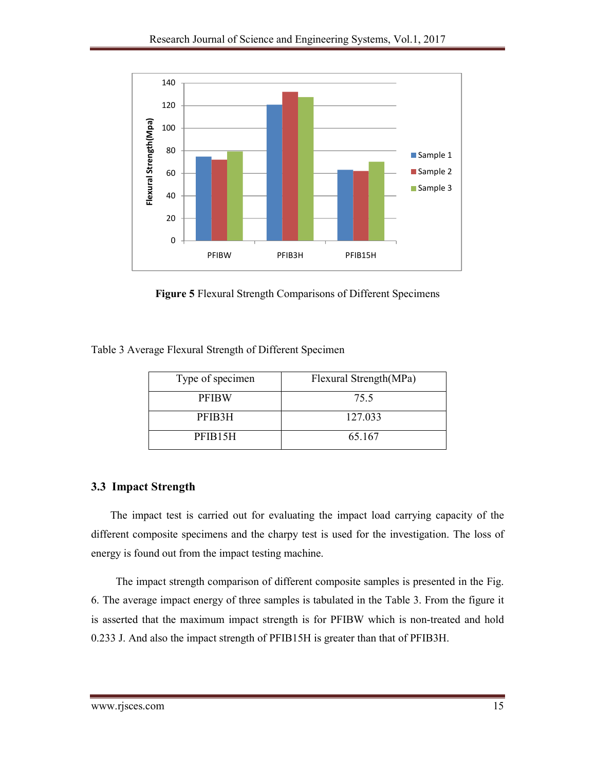

**Figure 5** Flexural Strength Comparisons of Different Specimens

Table 3 Average Flexural Strength of Different Specimen

| Type of specimen     | Flexural Strength(MPa) |
|----------------------|------------------------|
| <b>PFIBW</b>         | 75.5                   |
| PFIB3H               | 127.033                |
| PFIB <sub>15</sub> H | 65.167                 |

## **3.3 Impact Strength**

The impact test is carried out for evaluating the impact load carrying capacity of the different composite specimens and the charpy test is used for the investigation. The loss of energy is found out from the impact testing machine.

The impact strength comparison of different composite samples is presented in the Fig. 6. The average impact energy of three samples is tabulated in the Table 3. From the figure it is asserted that the maximum impact strength is for PFIBW which is non-treated and hold 0.233 J. And also the impact strength of PFIB15H is greater than that of PFIB3H.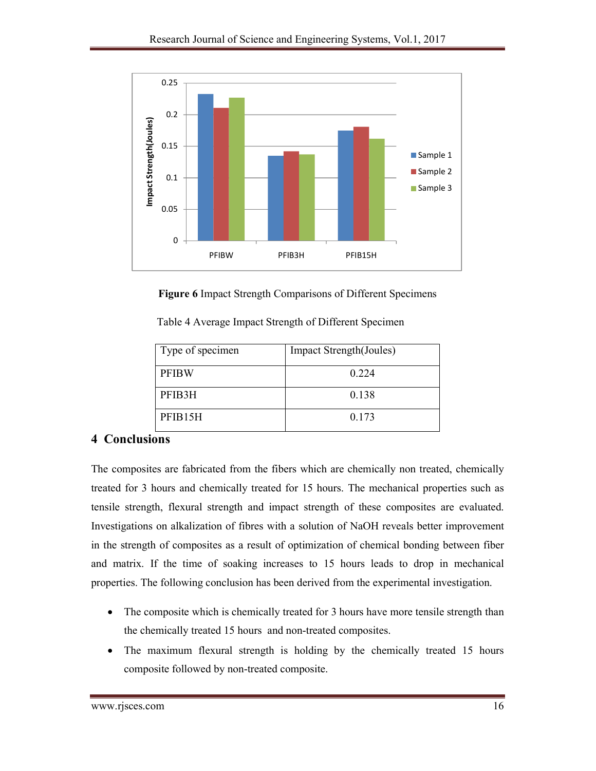

**Figure 6** Impact Strength Comparisons of Different Specimens

| Type of specimen     | <b>Impact Strength</b> (Joules) |
|----------------------|---------------------------------|
| <b>PFIBW</b>         | 0 2 2 4                         |
| PFIB3H               | 0.138                           |
| PFIB <sub>15</sub> H | 0.173                           |

Table 4 Average Impact Strength of Different Specimen

## **4 Conclusions**

The composites are fabricated from the fibers which are chemically non treated, chemically treated for 3 hours and chemically treated for 15 hours. The mechanical properties such as tensile strength, flexural strength and impact strength of these composites are evaluated. Investigations on alkalization of fibres with a solution of NaOH reveals better improvement in the strength of composites as a result of optimization of chemical bonding between fiber and matrix. If the time of soaking increases to 15 hours leads to drop in mechanical properties. The following conclusion has been derived from the experimental investigation.

- The composite which is chemically treated for 3 hours have more tensile strength than the chemically treated 15 hours and non-treated composites.
- The maximum flexural strength is holding by the chemically treated 15 hours composite followed by non-treated composite.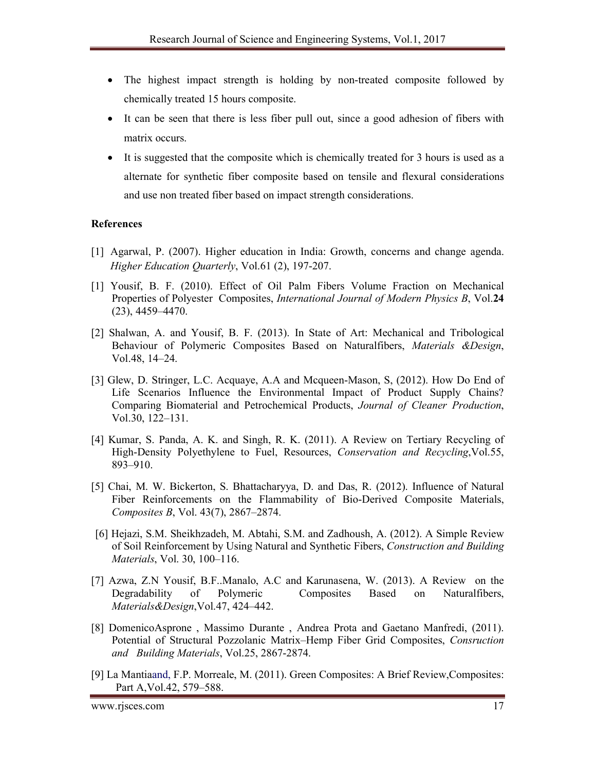- The highest impact strength is holding by non-treated composite followed by chemically treated 15 hours composite.
- It can be seen that there is less fiber pull out, since a good adhesion of fibers with matrix occurs.
- It is suggested that the composite which is chemically treated for 3 hours is used as a alternate for synthetic fiber composite based on tensile and flexural considerations and use non treated fiber based on impact strength considerations.

#### **References**

- [1] Agarwal, P. (2007). Higher education in India: Growth, concerns and change agenda. *Higher Education Quarterly*, Vol.61 (2), 197-207.
- [1] Yousif, B. F. (2010). Effect of Oil Palm Fibers Volume Fraction on Mechanical Properties of Polyester Composites, *International Journal of Modern Physics B*, Vol.**24** (23), 4459–4470.
- [2] Shalwan, A. and Yousif, B. F. (2013). In State of Art: Mechanical and Tribological Behaviour of Polymeric Composites Based on Naturalfibers, *Materials &Design*, Vol.48, 14–24.
- [3] Glew, D. Stringer, L.C. Acquaye, A.A and Mcqueen-Mason, S, (2012). How Do End of Life Scenarios Influence the Environmental Impact of Product Supply Chains? Comparing Biomaterial and Petrochemical Products, *Journal of Cleaner Production*, Vol.30, 122–131.
- [4] Kumar, S. Panda, A. K. and Singh, R. K. (2011). A Review on Tertiary Recycling of High-Density Polyethylene to Fuel, Resources, *Conservation and Recycling*,Vol.55, 893–910.
- [5] Chai, M. W. Bickerton, S. Bhattacharyya, D. and Das, R. (2012). Influence of Natural Fiber Reinforcements on the Flammability of Bio-Derived Composite Materials, *Composites B*, Vol. 43(7), 2867–2874.
- [6] Hejazi, S.M. Sheikhzadeh, M. Abtahi, S.M. and Zadhoush, A. (2012). A Simple Review of Soil Reinforcement by Using Natural and Synthetic Fibers, *Construction and Building Materials*, Vol. 30, 100–116.
- [7] Azwa, Z.N Yousif, B.F..Manalo, A.C and Karunasena, W. (2013). A Review on the Degradability of Polymeric Composites Based on Naturalfibers, *Materials&Design*,Vol.47, 424–442.
- [8] DomenicoAsprone , Massimo Durante , Andrea Prota and Gaetano Manfredi, (2011). Potential of Structural Pozzolanic Matrix–Hemp Fiber Grid Composites, *Consruction and Building Materials*, Vol.25, 2867-2874.
- [9] La Mantiaand, F.P. Morreale, M. (2011). Green Composites: A Brief Review,Composites: Part A,Vol.42, 579–588.